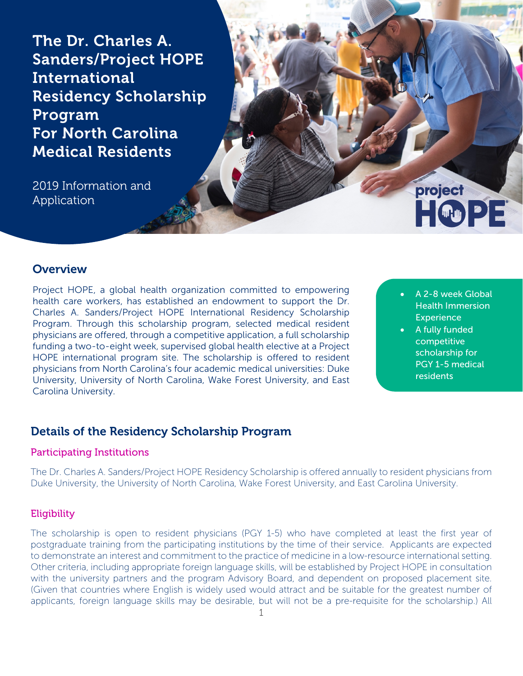The Dr. Charles A. Sanders/Project HOPE International Residency Scholarship Program For North Carolina Medical Residents

2019 Information and Application

## **Overview**

Project HOPE, a global health organization committed to empowering health care workers, has established an endowment to support the Dr. Charles A. Sanders/Project HOPE International Residency Scholarship Program. Through this scholarship program, selected medical resident physicians are offered, through a competitive application, a full scholarship funding a two-to-eight week, supervised global health elective at a Project HOPE international program site. The scholarship is offered to resident physicians from North Carolina's four academic medical universities: Duke University, University of North Carolina, Wake Forest University, and East Carolina University.

• A 2-8 week Global Health Immersion **Experience** 

project

HOPE

A fully funded competitive scholarship for PGY 1-5 medical residents

## Details of the Residency Scholarship Program

#### Participating Institutions

The Dr. Charles A. Sanders/Project HOPE Residency Scholarship is offered annually to resident physicians from Duke University, the University of North Carolina, Wake Forest University, and East Carolina University.

#### **Eligibility**

The scholarship is open to resident physicians (PGY 1-5) who have completed at least the first year of postgraduate training from the participating institutions by the time of their service. Applicants are expected to demonstrate an interest and commitment to the practice of medicine in a low-resource international setting. Other criteria, including appropriate foreign language skills, will be established by Project HOPE in consultation with the university partners and the program Advisory Board, and dependent on proposed placement site. (Given that countries where English is widely used would attract and be suitable for the greatest number of applicants, foreign language skills may be desirable, but will not be a pre-requisite for the scholarship.) All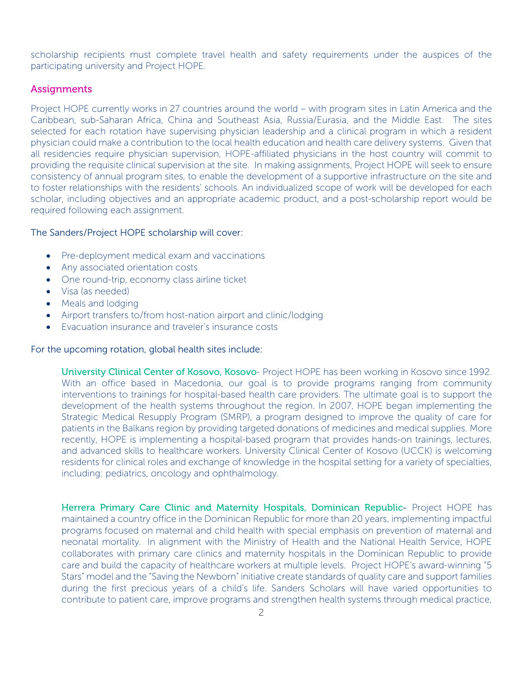scholarship recipients must complete travel health and safety requirements under the auspices of the participating university and Project HOPE.

#### **Assignments**

Project HOPE currently works in 27 countries around the world – with program sites in Latin America and the Caribbean, sub-Saharan Africa, China and Southeast Asia, Russia/Eurasia, and the Middle East. The sites selected for each rotation have supervising physician leadership and a clinical program in which a resident physician could make a contribution to the local health education and health care delivery systems. Given that all residencies require physician supervision, HOPE-affiliated physicians in the host country will commit to providing the requisite clinical supervision at the site. In making assignments, Project HOPE will seek to ensure consistency of annual program sites, to enable the development of a supportive infrastructure on the site and to foster relationships with the residents' schools. An individualized scope of work will be developed for each scholar, including objectives and an appropriate academic product, and a post-scholarship report would be required following each assignment.

#### The Sanders/Project HOPE scholarship will cover:

- Pre-deployment medical exam and vaccinations
- Any associated orientation costs
- One round-trip, economy class airline ticket
- Visa (as needed)
- Meals and lodging
- Airport transfers to/from host-nation airport and clinic/lodging
- Evacuation insurance and traveler's insurance costs

#### For the upcoming rotation, global health sites include:

University Clinical Center of Kosovo, Kosovo- Project HOPE has been working in Kosovo since 1992. With an office based in Macedonia, our goal is to provide programs ranging from community interventions to trainings for hospital-based health care providers. The ultimate goal is to support the development of the health systems throughout the region. In 2007, HOPE began implementing the Strategic Medical Resupply Program (SMRP), a program designed to improve the quality of care for patients in the Balkans region by providing targeted donations of medicines and medical supplies. More recently, HOPE is implementing a hospital-based program that provides hands-on trainings, lectures, and advanced skills to healthcare workers. University Clinical Center of Kosovo (UCCK) is welcoming residents for clinical roles and exchange of knowledge in the hospital setting for a variety of specialties, including: pediatrics, oncology and ophthalmology.

Herrera Primary Care Clinic and Maternity Hospitals, Dominican Republic- Project HOPE has maintained a country office in the Dominican Republic for more than 20 years, implementing impactful programs focused on maternal and child health with special emphasis on prevention of maternal and neonatal mortality. In alignment with the Ministry of Health and the National Health Service, HOPE collaborates with primary care clinics and maternity hospitals in the Dominican Republic to provide care and build the capacity of healthcare workers at multiple levels. Project HOPE's award-winning "5 Stars" model and the "Saving the Newborn" initiative create standards of quality care and support families during the first precious years of a child's life. Sanders Scholars will have varied opportunities to contribute to patient care, improve programs and strengthen health systems through medical practice,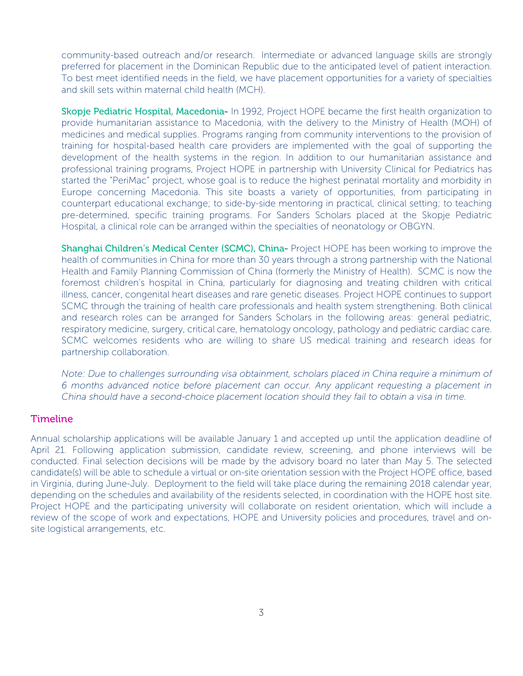community-based outreach and/or research. Intermediate or advanced language skills are strongly preferred for placement in the Dominican Republic due to the anticipated level of patient interaction. To best meet identified needs in the field, we have placement opportunities for a variety of specialties and skill sets within maternal child health (MCH).

Skopje Pediatric Hospital, Macedonia- In 1992, Project HOPE became the first health organization to provide humanitarian assistance to Macedonia, with the delivery to the Ministry of Health (MOH) of medicines and medical supplies. Programs ranging from community interventions to the provision of training for hospital-based health care providers are implemented with the goal of supporting the development of the health systems in the region. In addition to our humanitarian assistance and professional training programs, Project HOPE in partnership with University Clinical for Pediatrics has started the "PeriMac" project, whose goal is to reduce the highest perinatal mortality and morbidity in Europe concerning Macedonia. This site boasts a variety of opportunities, from participating in counterpart educational exchange; to side-by-side mentoring in practical, clinical setting; to teaching pre-determined, specific training programs. For Sanders Scholars placed at the Skopje Pediatric Hospital, a clinical role can be arranged within the specialties of neonatology or OBGYN.

Shanghai Children's Medical Center (SCMC), China- Project HOPE has been working to improve the health of communities in [China](http://www.projecthope.org/where-we-work/china/) for more than 30 years through a strong partnership with the National Health and Family Planning Commission of China (formerly the Ministry of Health). SCMC is now the foremost children's hospital in China, particularly for diagnosing and treating children with critical illness, cancer, congenital heart diseases and rare genetic diseases. Project HOPE continues to support SCMC through the training of health care professionals and health system strengthening. Both clinical and research roles can be arranged for Sanders Scholars in the following areas: general pediatric, respiratory medicine, surgery, critical care, hematology oncology, pathology and pediatric cardiac care. SCMC welcomes residents who are willing to share US medical training and research ideas for partnership collaboration.

*Note: Due to challenges surrounding visa obtainment, scholars placed in China require a minimum of 6 months advanced notice before placement can occur. Any applicant requesting a placement in China should have a second-choice placement location should they fail to obtain a visa in time.* 

#### Timeline

Annual scholarship applications will be available January 1 and accepted up until the application deadline of April 21. Following application submission, candidate review, screening, and phone interviews will be conducted. Final selection decisions will be made by the advisory board no later than May 5. The selected candidate(s) will be able to schedule a virtual or on-site orientation session with the Project HOPE office, based in Virginia, during June-July. Deployment to the field will take place during the remaining 2018 calendar year, depending on the schedules and availability of the residents selected, in coordination with the HOPE host site. Project HOPE and the participating university will collaborate on resident orientation, which will include a review of the scope of work and expectations, HOPE and University policies and procedures, travel and onsite logistical arrangements, etc.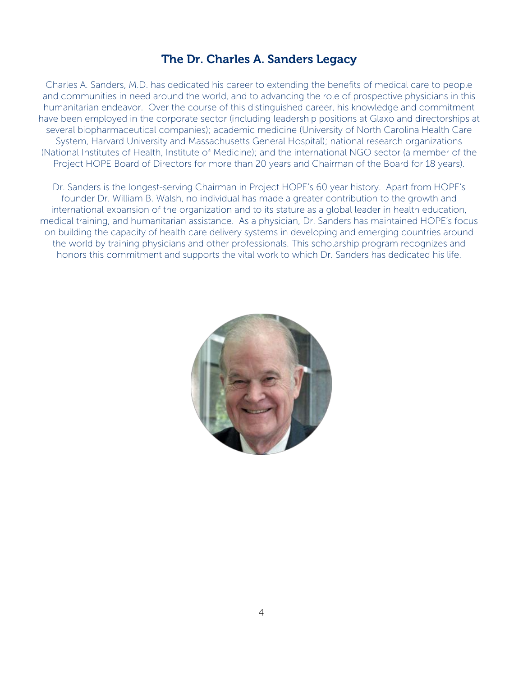## The Dr. Charles A. Sanders Legacy

Charles A. Sanders, M.D. has dedicated his career to extending the benefits of medical care to people and communities in need around the world, and to advancing the role of prospective physicians in this humanitarian endeavor. Over the course of this distinguished career, his knowledge and commitment have been employed in the corporate sector (including leadership positions at Glaxo and directorships at several biopharmaceutical companies); academic medicine (University of North Carolina Health Care System, Harvard University and Massachusetts General Hospital); national research organizations (National Institutes of Health, Institute of Medicine); and the international NGO sector (a member of the Project HOPE Board of Directors for more than 20 years and Chairman of the Board for 18 years).

Dr. Sanders is the longest-serving Chairman in Project HOPE's 60 year history. Apart from HOPE's founder Dr. William B. Walsh, no individual has made a greater contribution to the growth and international expansion of the organization and to its stature as a global leader in health education, medical training, and humanitarian assistance. As a physician, Dr. Sanders has maintained HOPE's focus on building the capacity of health care delivery systems in developing and emerging countries around the world by training physicians and other professionals. This scholarship program recognizes and honors this commitment and supports the vital work to which Dr. Sanders has dedicated his life.

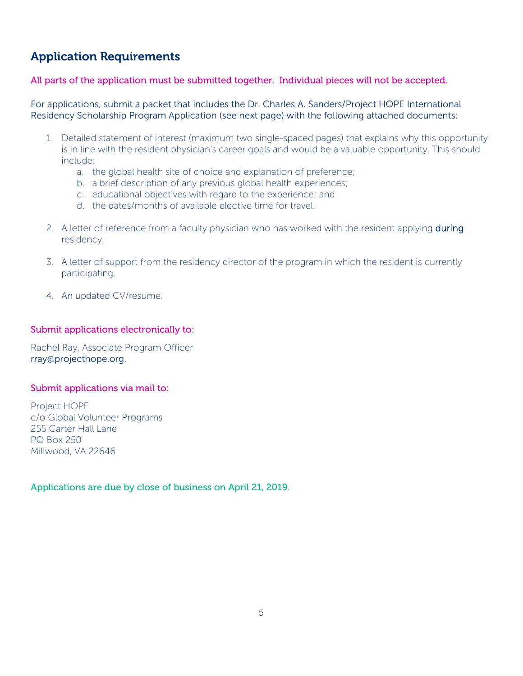# Application Requirements

All parts of the application must be submitted together. Individual pieces will not be accepted.

For applications, submit a packet that includes the Dr. Charles A. Sanders/Project HOPE International Residency Scholarship Program Application (see next page) with the following attached documents:

- 1. Detailed statement of interest (maximum two single-spaced pages) that explains why this opportunity is in line with the resident physician's career goals and would be a valuable opportunity. This should include:
	- a. the global health site of choice and explanation of preference;
	- b. a brief description of any previous global health experiences;
	- c. educational objectives with regard to the experience; and
	- d. the dates/months of available elective time for travel.
- 2. A letter of reference from a faculty physician who has worked with the resident applying **during** residency.
- 3. A letter of support from the residency director of the program in which the resident is currently participating.
- 4. An updated CV/resume.

#### Submit applications electronically to:

Rachel Ray, Associate Program Officer [rray@projecthope.org.](mailto:rray@projecthope.org)

#### Submit applications via mail to:

Project HOPE c/o Global Volunteer Programs 255 Carter Hall Lane PO Box 250 Millwood, VA 22646

Applications are due by close of business on April 21, 2019.